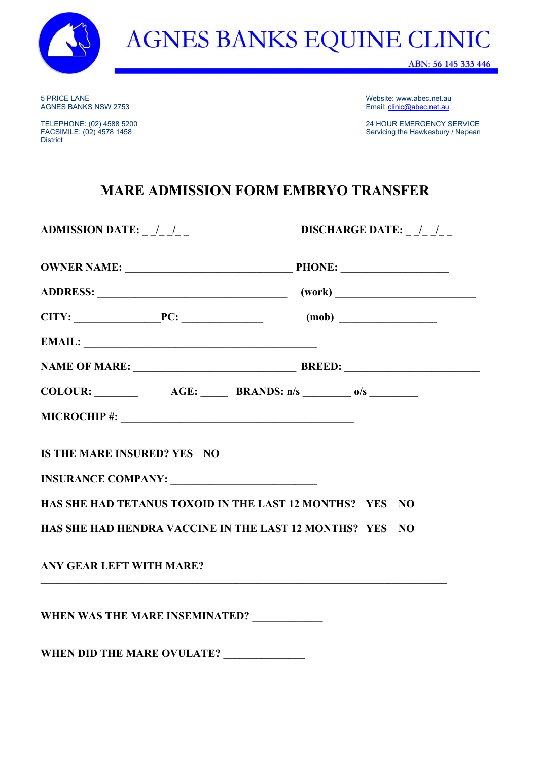

5 PRICE LANE Website: www.abec.net.au

District

Email: **clinic@abec.net.au** 

TELEPHONE: (02) 4588 5200 24 HOUR EMERGENCY SERVICE Servicing the Hawkesbury / Nepean

## **MARE ADMISSION FORM EMBRYO TRANSFER**

**ADMISSION DATE: \_ \_/\_ \_/\_ \_ DISCHARGE DATE: \_ \_/\_ \_/\_ \_**

| COLOUR: $\_\_\_\_\_\_\_\_\_\_\_\_\_\_\_\_\_\_\_\_\_\_\_\_\_\_\_\_\_\_ \$ BRANDS: n/s $\_\_\_\_\_\_$ o/s $\_\_\_\_\_\_\_\_\_\_\_$ |  |
|----------------------------------------------------------------------------------------------------------------------------------|--|
| $MICROCHIP$ #: $\qquad \qquad$                                                                                                   |  |
| IS THE MARE INSURED? YES NO<br>INSURANCE COMPANY:                                                                                |  |
| HAS SHE HAD TETANUS TOXOID IN THE LAST 12 MONTHS? YES NO                                                                         |  |
| HAS SHE HAD HENDRA VACCINE IN THE LAST 12 MONTHS? YES NO                                                                         |  |
| <b>ANY GEAR LEFT WITH MARE?</b>                                                                                                  |  |
| WHEN WAS THE MARE INSEMINATED? ____________                                                                                      |  |

WHEN DID THE MARE OVULATE?